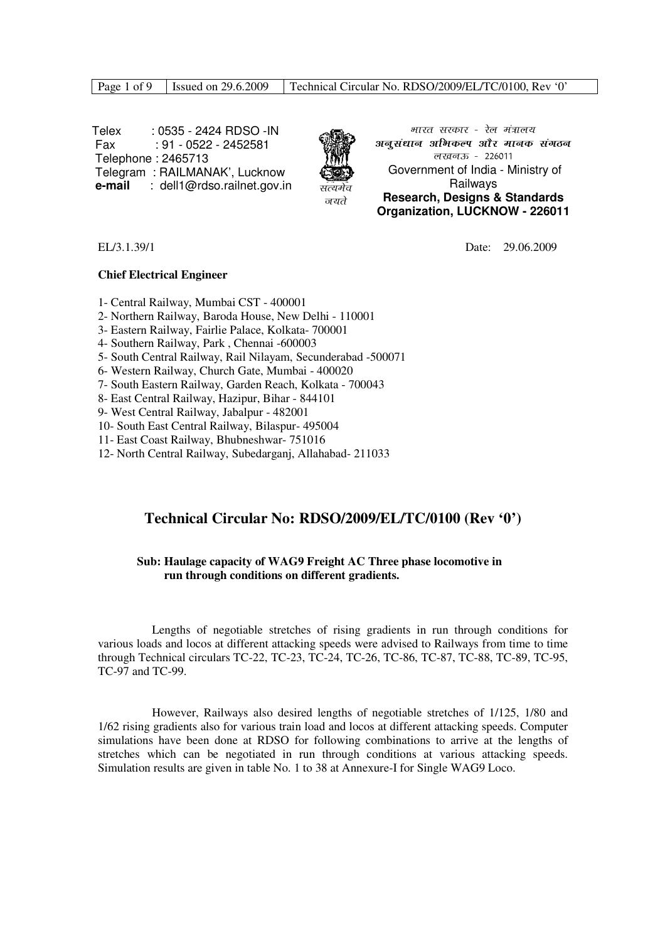|  | Page 1 of 9 Sexuel on $29.6.2009$ | Technical Circular No. RDSO/2009/EL/TC/0100, Rev '0' |
|--|-----------------------------------|------------------------------------------------------|
|--|-----------------------------------|------------------------------------------------------|

 Telex : 0535 - 2424 RDSO -IN Fax : 91 - 0522 - 2452581 Telephone : 2465713 Telegram : RAILMANAK', Lucknow **e-mail** : dell1@rdso.railnet.gov.in



भारत सरकार - रेल मंत्रालय अनूसंधान अभिकल्प और मानक संगठन  $\overline{d}$ *ख*बऊ - 226011 Government of India - Ministry of **Railways Research, Designs & Standards Organization, LUCKNOW - 226011**

EL/3.1.39/1 Date: 29.06.2009

#### **Chief Electrical Engineer**

1- Central Railway, Mumbai CST - 400001

- 2- Northern Railway, Baroda House, New Delhi 110001
- 3- Eastern Railway, Fairlie Palace, Kolkata- 700001
- 4- Southern Railway, Park , Chennai -600003
- 5- South Central Railway, Rail Nilayam, Secunderabad -500071
- 6- Western Railway, Church Gate, Mumbai 400020
- 7- South Eastern Railway, Garden Reach, Kolkata 700043
- 8- East Central Railway, Hazipur, Bihar 844101
- 9- West Central Railway, Jabalpur 482001
- 10- South East Central Railway, Bilaspur- 495004
- 11- East Coast Railway, Bhubneshwar- 751016
- 12- North Central Railway, Subedarganj, Allahabad- 211033

### **Technical Circular No: RDSO/2009/EL/TC/0100 (Rev '0')**

#### **Sub: Haulage capacity of WAG9 Freight AC Three phase locomotive in run through conditions on different gradients.**

 Lengths of negotiable stretches of rising gradients in run through conditions for various loads and locos at different attacking speeds were advised to Railways from time to time through Technical circulars TC-22, TC-23, TC-24, TC-26, TC-86, TC-87, TC-88, TC-89, TC-95, TC-97 and TC-99.

 However, Railways also desired lengths of negotiable stretches of 1/125, 1/80 and 1/62 rising gradients also for various train load and locos at different attacking speeds. Computer simulations have been done at RDSO for following combinations to arrive at the lengths of stretches which can be negotiated in run through conditions at various attacking speeds. Simulation results are given in table No. 1 to 38 at Annexure-I for Single WAG9 Loco.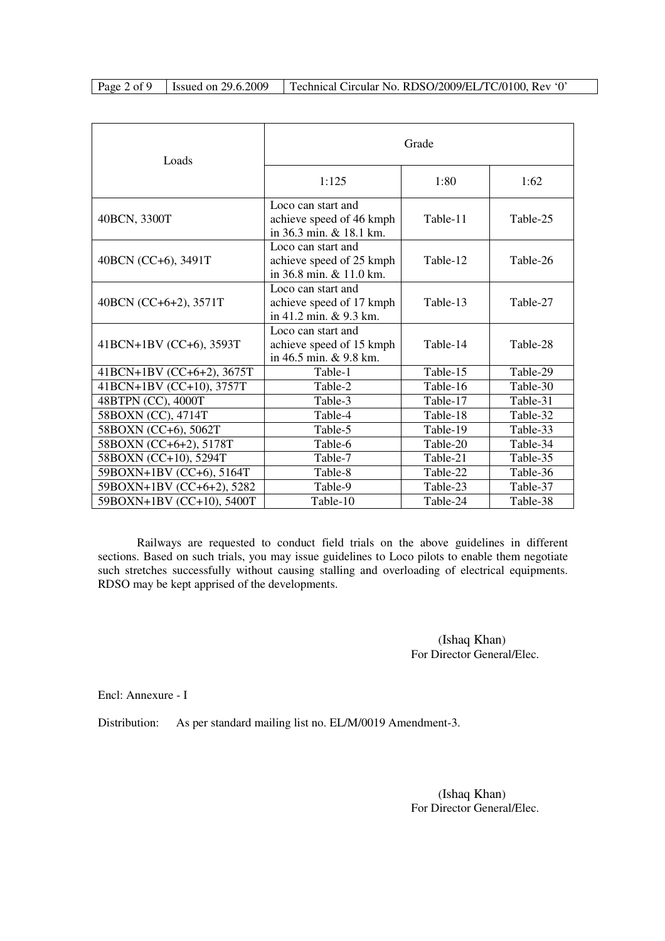Page 2 of 9 | Issued on 29.6.2009 | Technical Circular No. RDSO/2009/EL/TC/0100, Rev '0'

| Loads                     | Grade                                                                     |          |          |  |  |
|---------------------------|---------------------------------------------------------------------------|----------|----------|--|--|
|                           | 1:125                                                                     | 1:80     | 1:62     |  |  |
| 40BCN, 3300T              | Loco can start and<br>achieve speed of 46 kmph<br>in 36.3 min. & 18.1 km. | Table-11 | Table-25 |  |  |
| 40BCN (CC+6), 3491T       | Loco can start and<br>achieve speed of 25 kmph<br>in 36.8 min. & 11.0 km. | Table-12 | Table-26 |  |  |
| 40BCN (CC+6+2), 3571T     | Loco can start and<br>achieve speed of 17 kmph<br>in 41.2 min. & 9.3 km.  | Table-13 | Table-27 |  |  |
| 41BCN+1BV (CC+6), 3593T   | Loco can start and<br>achieve speed of 15 kmph<br>in 46.5 min. & 9.8 km.  | Table-14 | Table-28 |  |  |
| 41BCN+1BV (CC+6+2), 3675T | Table-1                                                                   | Table-15 | Table-29 |  |  |
| 41BCN+1BV (CC+10), 3757T  | Table-2                                                                   | Table-16 | Table-30 |  |  |
| 48BTPN (CC), 4000T        | Table-3                                                                   | Table-17 | Table-31 |  |  |
| 58BOXN (CC), 4714T        | Table-4                                                                   | Table-18 | Table-32 |  |  |
| 58BOXN (CC+6), 5062T      | Table-5                                                                   | Table-19 | Table-33 |  |  |
| 58BOXN (CC+6+2), 5178T    | Table-6                                                                   | Table-20 | Table-34 |  |  |
| 58BOXN (CC+10), 5294T     | Table-7                                                                   | Table-21 | Table-35 |  |  |
| 59BOXN+1BV (CC+6), 5164T  | Table-8                                                                   | Table-22 | Table-36 |  |  |
| 59BOXN+1BV (CC+6+2), 5282 | Table-9                                                                   | Table-23 | Table-37 |  |  |
| 59BOXN+1BV (CC+10), 5400T | Table-10                                                                  | Table-24 | Table-38 |  |  |

 Railways are requested to conduct field trials on the above guidelines in different sections. Based on such trials, you may issue guidelines to Loco pilots to enable them negotiate such stretches successfully without causing stalling and overloading of electrical equipments. RDSO may be kept apprised of the developments.

> (Ishaq Khan) For Director General/Elec.

Encl: Annexure - I

Distribution: As per standard mailing list no. EL/M/0019 Amendment-3.

 (Ishaq Khan) For Director General/Elec.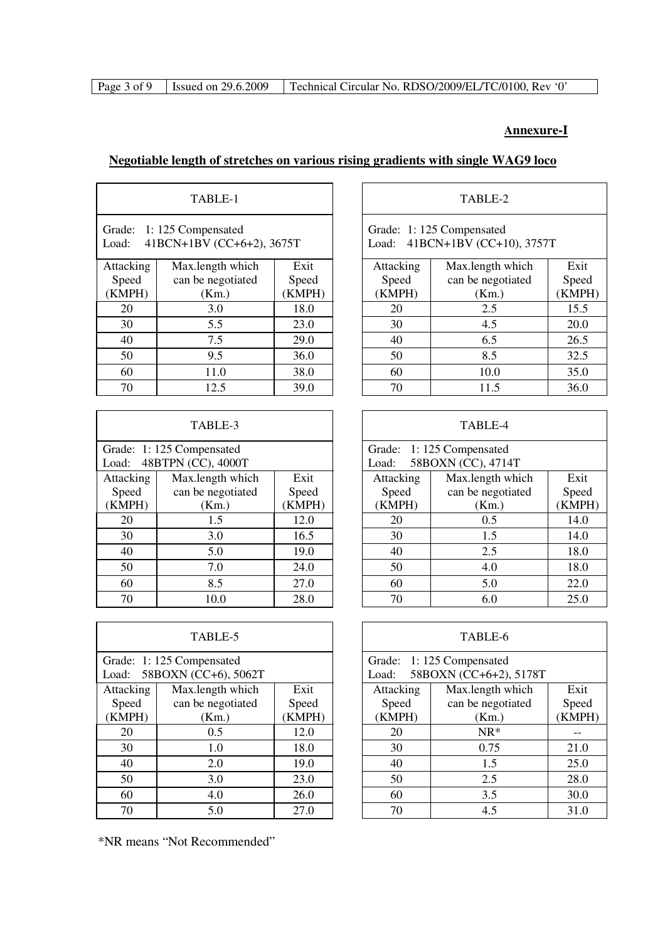|  |  | Page 3 of 9   Issued on 29.6.2009   Technical Circular No. RDSO/2009/EL/TC/0100, Rev '0' |
|--|--|------------------------------------------------------------------------------------------|
|--|--|------------------------------------------------------------------------------------------|

### **Annexure-I**

|                              | TABLE-1                                        |                         |                              | TABLE-2                                                    |                        |
|------------------------------|------------------------------------------------|-------------------------|------------------------------|------------------------------------------------------------|------------------------|
| Grade:<br>Load:              | 1:125 Compensated<br>41BCN+1BV (CC+6+2), 3675T |                         |                              | Grade: 1:125 Compensated<br>Load: 41BCN+1BV (CC+10), 3757T |                        |
| Attacking<br>Speed<br>(KMPH) | Max.length which<br>can be negotiated<br>(Km.) | Exit<br>Speed<br>(KMPH) | Attacking<br>Speed<br>(KMPH) | Max.length which<br>can be negotiated<br>(Km.)             | Exit<br>Speed<br>(KMPF |
| 20                           | 3.0                                            | 18.0                    | 20                           | 2.5                                                        | 15.5                   |
| 30                           | 5.5                                            | 23.0                    | 30                           | 4.5                                                        | 20.0                   |
| 40                           | 7.5                                            | 29.0                    | 40                           | 6.5                                                        | 26.5                   |
| 50                           | 9.5                                            | 36.0                    | 50                           | 8.5                                                        | 32.5                   |
| 60                           | 11.0                                           | 38.0                    | 60                           | 10.0                                                       | 35.0                   |
| 70                           | 12.5                                           | 39.0                    | 70                           | 11.5                                                       | 36.0                   |

| TABLE-3                   |                          |       |  |  |  |
|---------------------------|--------------------------|-------|--|--|--|
|                           | Grade: 1:125 Compensated |       |  |  |  |
| Load:                     | 48BTPN (CC), 4000T       |       |  |  |  |
| Attacking                 | Max.length which         | Exit  |  |  |  |
| Speed                     | can be negotiated        | Speed |  |  |  |
| (KMPH)<br>(KMPH)<br>(Km.) |                          |       |  |  |  |
| 20                        | 1.5                      | 12.0  |  |  |  |
| 30                        | 3.0                      | 16.5  |  |  |  |
| 40                        | 5.0                      | 19.0  |  |  |  |
| 50                        | 24.0                     |       |  |  |  |
| 60                        | 8.5                      | 27.0  |  |  |  |
| 70                        | 10.0                     | 28.0  |  |  |  |

|                                                           | TABLE-5           |        |           | TABLE-6                                            |             |
|-----------------------------------------------------------|-------------------|--------|-----------|----------------------------------------------------|-------------|
| Grade: 1:125 Compensated<br>58BOXN (CC+6), 5062T<br>Load: |                   |        | Load:     | Grade: 1:125 Compensated<br>58BOXN (CC+6+2), 5178T |             |
| Attacking                                                 | Max.length which  | Exit   | Attacking | Max.length which                                   | Exit        |
| Speed                                                     | can be negotiated | Speed  | Speed     | can be negotiated                                  | Speed       |
| (KMPH)                                                    | (Km.)             | (KMPH) | (KMPH)    | (Km.)                                              | <b>KMPF</b> |
| 20                                                        | 0.5               | 12.0   | 20        | $NR*$                                              |             |
| 30                                                        | 1.0               | 18.0   | 30        | 0.75                                               | 21.0        |
| 40                                                        | 2.0               | 19.0   | 40        | 1.5                                                | 25.0        |
| 50                                                        | 3.0               | 23.0   | 50        | 2.5                                                | 28.0        |
| 60                                                        | 4.0               | 26.0   | 60        | 3.5                                                | 30.0        |
| 70                                                        | 5.0               | 27.0   | 70        | 4.5                                                | 31.0        |

\*NR means "Not Recommended"

### TABLE-2

| Attacking | Max.length which  | Exit   |
|-----------|-------------------|--------|
| Speed     | can be negotiated | Speed  |
| (KMPH)    | (Km.)             | (KMPH) |
| 20        | 2.5               | 15.5   |
| 30        | 4.5               | 20.0   |
| 40        | 6.5               | 26.5   |
| 50        | 8.5               | 32.5   |
| 60        | 10.0              | 35.0   |
| 70        | 11.5              | 36.0   |

|                       | TABLE-4<br>TABLE-3 |        |  |                          |                    |        |
|-----------------------|--------------------|--------|--|--------------------------|--------------------|--------|
| de: 1:125 Compensated |                    |        |  | Grade: 1:125 Compensated |                    |        |
| d:                    | 48BTPN (CC), 4000T |        |  | Load:                    | 58BOXN (CC), 4714T |        |
| acking                | Max.length which   | Exit   |  | Attacking                | Max.length which   | Exit   |
| oeed                  | can be negotiated  | Speed  |  | Speed                    | can be negotiated  | Speed  |
| MPH)                  | (Km.)              | (KMPH) |  | (KMPH)                   | (Km.)              | (KMPH) |
| 20                    | 1.5                | 12.0   |  | 20                       | 0.5                | 14.0   |
| 30                    | 3.0                | 16.5   |  | 30                       | 1.5                | 14.0   |
| 40                    | 5.0                | 19.0   |  | 40                       | 2.5                | 18.0   |
| 50                    | 7.0                | 24.0   |  | 50                       | 4.0                | 18.0   |
| 60                    | 8.5                | 27.0   |  | 5.0<br>60                |                    | 22.0   |
| 70                    | 10.0               | 28.0   |  | 70                       | 6.0                | 25.0   |

|                                                  | TABLE-6<br>TABLE-5 |        |  |           |                                                    |        |
|--------------------------------------------------|--------------------|--------|--|-----------|----------------------------------------------------|--------|
| de: 1:125 Compensated<br>d: 58BOXN (CC+6), 5062T |                    |        |  | Load:     | Grade: 1:125 Compensated<br>58BOXN (CC+6+2), 5178T |        |
| acking                                           | Max.length which   | Exit   |  | Attacking | Max.length which                                   | Exit   |
| oeed                                             | can be negotiated  | Speed  |  | Speed     | can be negotiated                                  | Speed  |
| MPH)                                             | (Km.)              | (KMPH) |  | (KMPH)    | (Km.)                                              | (KMPH) |
| 20                                               | 0.5                | 12.0   |  | 20        | $NR*$                                              |        |
| 30                                               | 1.0                | 18.0   |  | 30        | 0.75                                               | 21.0   |
| 40                                               | 2.0                | 19.0   |  | 40        | 1.5                                                | 25.0   |
| 50                                               | 3.0                | 23.0   |  | 50        | 2.5                                                | 28.0   |
| 60                                               | 4.0                | 26.0   |  | 60        | 3.5                                                | 30.0   |
| 70                                               | 5.0                | 27.0   |  | 70        | 4.5                                                | 31.0   |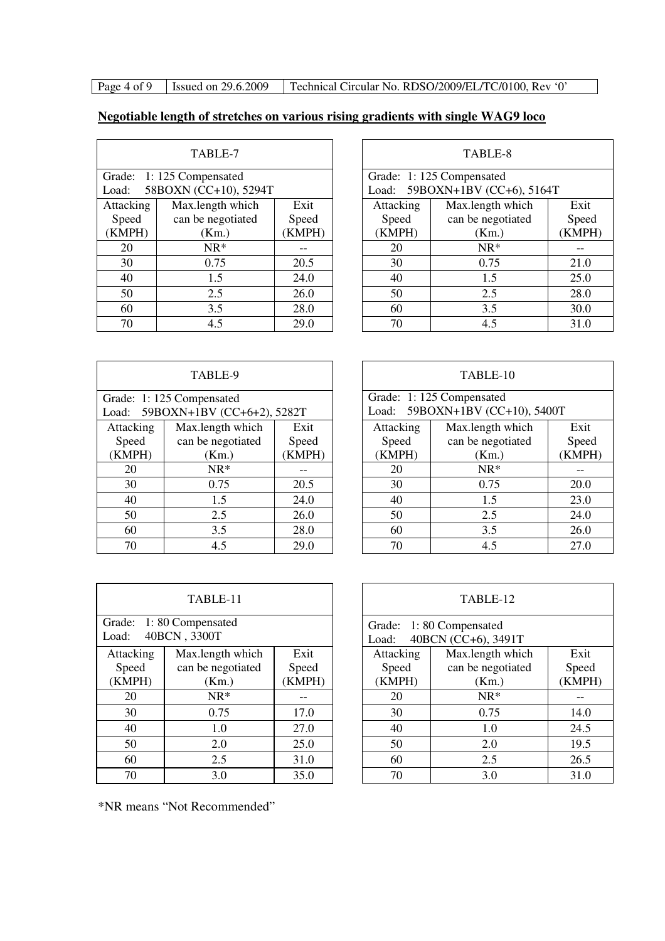Page 4 of 9 | Issued on 29.6.2009 | Technical Circular No. RDSO/2009/EL/TC/0100, Rev '0'

### **Negotiable length of stretches on various rising gradients with single WAG9 loco**

| TABLE-7   |                          |       |  |  |  |
|-----------|--------------------------|-------|--|--|--|
|           | Grade: 1:125 Compensated |       |  |  |  |
| Load:     | 58BOXN (CC+10), 5294T    |       |  |  |  |
| Attacking | Max.length which         | Exit  |  |  |  |
| Speed     | can be negotiated        | Speed |  |  |  |
| (KMPH)    | (KMPH)                   |       |  |  |  |
| 20        | $NR*$                    |       |  |  |  |
| 30        | 0.75                     | 20.5  |  |  |  |
| 40        | 1.5                      | 24.0  |  |  |  |
| 50        | 2.5                      | 26.0  |  |  |  |
| 60        | 3.5                      | 28.0  |  |  |  |
| 70        | 4.5                      | 29.0  |  |  |  |

| TABLE-7               |                       |        |                          | TABLE-8                        |        |
|-----------------------|-----------------------|--------|--------------------------|--------------------------------|--------|
| de: 1:125 Compensated |                       |        | Grade: 1:125 Compensated |                                |        |
| d:                    | 58BOXN (CC+10), 5294T |        |                          | Load: 59BOXN+1BV (CC+6), 5164T |        |
| acking                | Max.length which      | Exit   | Attacking                | Max.length which               | Exit   |
| oeed                  | can be negotiated     | Speed  | Speed                    | can be negotiated              | Speed  |
| MPH)                  | (Km.)                 | (KMPH) | (KMPH)                   | (Km.)                          | (KMPH) |
| 20                    | $NR*$                 |        | 20                       | $NR^*$                         |        |
| 30                    | 0.75                  | 20.5   | 30                       | 0.75                           | 21.0   |
| 40                    | 1.5                   | 24.0   | 40                       | 1.5                            | 25.0   |
| $\overline{50}$       | 2.5                   | 26.0   | 50                       | 2.5                            | 28.0   |
| $\overline{60}$       | 3.5                   | 28.0   | 60                       | 3.5                            | 30.0   |
| 70                    | 4.5                   | 29.0   | 70                       | 4.5                            | 31.0   |

TABLE-10

| TABLE-9   |                                  |        |  |  |  |
|-----------|----------------------------------|--------|--|--|--|
|           | Grade: 1:125 Compensated         |        |  |  |  |
|           | Load: 59BOXN+1BV (CC+6+2), 5282T |        |  |  |  |
| Attacking | Max.length which                 | Exit   |  |  |  |
| Speed     | can be negotiated                | Speed  |  |  |  |
| (KMPH)    | (Km.)                            | (KMPH) |  |  |  |
| 20        | $NR*$                            |        |  |  |  |
| 30        | 0.75                             | 20.5   |  |  |  |
| 40        | 1.5                              | 24.0   |  |  |  |
| 50        | 2.5                              | 26.0   |  |  |  |
| 60        | 3.5                              | 28.0   |  |  |  |
| 70        | 45                               | 29.0   |  |  |  |

| acking | Max.length which  | Exit  | Attacking | Max.length which  | Exit   |
|--------|-------------------|-------|-----------|-------------------|--------|
| oeed   | can be negotiated | Speed | Speed     | can be negotiated | Speed  |
| MPH)   | (Km.)             | KMPH) | (KMPH)    | (Km.)             | (KMPH) |
| 20     | $NR^*$            |       | 20        | $NR*$             |        |
| 30     | 0.75              | 20.5  | 30        | 0.75              | 20.0   |
| 40     | 1.5               | 24.0  | 40        | 1.5               | 23.0   |
| 50     | 2.5               | 26.0  | 50        | 2.5               | 24.0   |
| 60     | 3.5               | 28.0  | 60        | 3.5               | 26.0   |
| 70     | 4.5               | 29.0  | 70        | 4.5               | 27.0   |
|        |                   |       |           |                   |        |
|        |                   |       |           |                   |        |
|        |                   |       |           |                   |        |

Load: 59BOXN+1BV (CC+10), 5400T

Grade: 1: 125 Compensated

| TABLE-11  |                                         |        |  |  |  |  |
|-----------|-----------------------------------------|--------|--|--|--|--|
| Load:     | Grade: 1:80 Compensated<br>40BCN, 3300T |        |  |  |  |  |
| Attacking | Max.length which                        | Exit   |  |  |  |  |
| Speed     | can be negotiated                       | Speed  |  |  |  |  |
| (KMPH)    | (Km.)                                   | (KMPH) |  |  |  |  |
| 20        | $NR*$                                   |        |  |  |  |  |
| 30        | 0.75                                    | 17.0   |  |  |  |  |
| 40        | 1.0                                     | 27.0   |  |  |  |  |
| 50        | 2.0                                     | 25.0   |  |  |  |  |
| 60        | 31.0                                    |        |  |  |  |  |
| 70        | 3.0                                     | 35.0   |  |  |  |  |

TABLE-12 Grade: 1: 80 Compensated Load: 40BCN (CC+6), 3491T Attacking Speed (KMPH) Max.length which can be negotiated (Km.) Exit Speed (KMPH) 20 | NR\* | -- | | 20 | NR\* | --30 0.75 17.0 30 0.75 14.0 40 | 1.0 | 27.0 | 40 | 1.0 | 24.5 50 2.0 2.0 25.0 50 2.0 19.5 60 2.5 31.0 60 2.5 26.5 70 3.0 35.0 70 3.0 31.0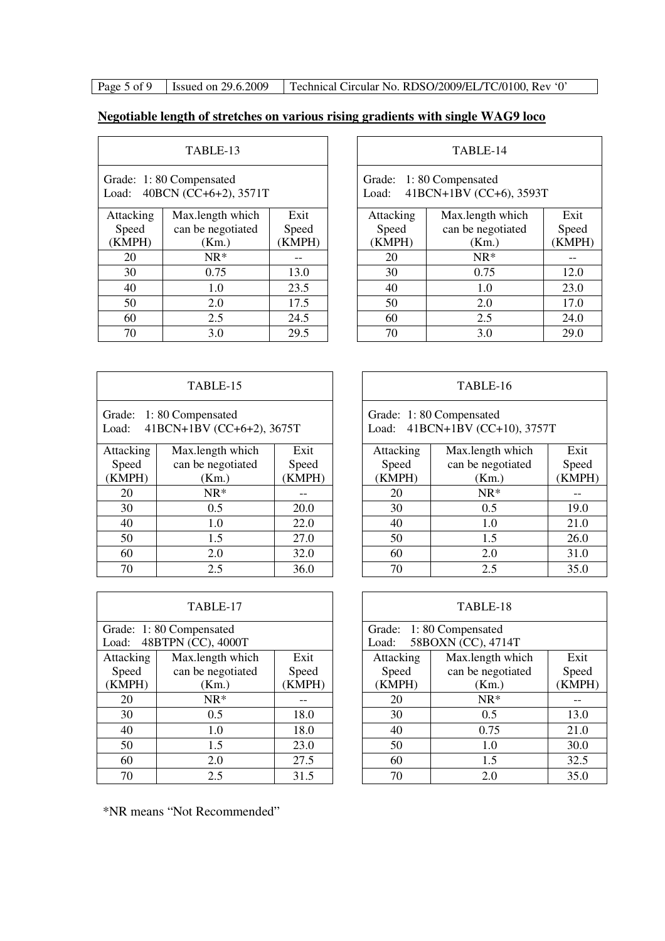Page 5 of 9 | Issued on 29.6.2009 | Technical Circular No. RDSO/2009/EL/TC/0100, Rev '0'

# **Negotiable length of stretches on various rising gradients with single WAG9 loco**

| TABLE-13                                                  |                   |        |  |  |  |
|-----------------------------------------------------------|-------------------|--------|--|--|--|
| Grade: 1:80 Compensated<br>40BCN (CC+6+2), 3571T<br>Load: |                   |        |  |  |  |
| Attacking                                                 | Max.length which  | Exit   |  |  |  |
| Speed                                                     | can be negotiated | Speed  |  |  |  |
| (KMPH)                                                    | (Km.)             | (KMPH) |  |  |  |
| 20                                                        | $NR*$             |        |  |  |  |
| 30                                                        | 0.75              | 13.0   |  |  |  |
| 40                                                        | 1.0               | 23.5   |  |  |  |
| 50                                                        | 2.0               | 17.5   |  |  |  |
| 60<br>2.5<br>24.5                                         |                   |        |  |  |  |
| 29.5<br>3.0<br>70                                         |                   |        |  |  |  |

| TABLE-13                                           |                   |        | TABLE-14 |                                                             |                   |        |
|----------------------------------------------------|-------------------|--------|----------|-------------------------------------------------------------|-------------------|--------|
| de: 1:80 Compensated<br>d: $40BCN (CC+6+2), 3571T$ |                   |        |          | Grade: 1:80 Compensated<br>41BCN+1BV (CC+6), 3593T<br>Load: |                   |        |
| acking                                             | Max.length which  | Exit   |          | Attacking                                                   | Max.length which  | Exit   |
| oeed                                               | can be negotiated | Speed  |          | Speed                                                       | can be negotiated | Speed  |
| MPH)                                               | (Km.)             | (KMPH) |          | (KMPH)                                                      | (Km.)             | (KMPH) |
| 20                                                 | $NR*$             |        |          | 20                                                          | $NR*$             |        |
| 30                                                 | 0.75              | 13.0   |          | 30                                                          | 0.75              | 12.0   |
| 40                                                 | 1.0               | 23.5   |          | 40                                                          | 1.0               | 23.0   |
| 50                                                 | 2.0               | 17.5   |          | 50                                                          | 2.0               | 17.0   |
| 60                                                 | 2.5               | 24.5   |          | 60                                                          | 2.5               | 24.0   |
| 70                                                 | 3.0               | 29.5   |          | 70                                                          | 3.0               | 29.0   |

| TABLE-15                                                      |                   |      |  |  |  |
|---------------------------------------------------------------|-------------------|------|--|--|--|
| Grade: 1:80 Compensated<br>41BCN+1BV (CC+6+2), 3675T<br>Load: |                   |      |  |  |  |
| Attacking                                                     | Max.length which  | Exit |  |  |  |
| Speed                                                         | can be negotiated |      |  |  |  |
| (KMPH)                                                        | (Km.)             |      |  |  |  |
| 20                                                            |                   |      |  |  |  |
| 30                                                            | 0.5               |      |  |  |  |
| 40                                                            | 22.0              |      |  |  |  |
| 50                                                            | 27.0              |      |  |  |  |
| 60<br>2.0<br>32.0                                             |                   |      |  |  |  |
| 70                                                            | 2.5               | 36.0 |  |  |  |

| TABLE-17  |                         |       |  |  |  |
|-----------|-------------------------|-------|--|--|--|
|           | Grade: 1:80 Compensated |       |  |  |  |
| Load:     | 48BTPN (CC), 4000T      |       |  |  |  |
| Attacking | Max.length which        | Exit  |  |  |  |
| Speed     | can be negotiated       | Speed |  |  |  |
| (KMPH)    | (Km.)                   |       |  |  |  |
| 20        | $NR*$                   |       |  |  |  |
| 30        | 0.5                     | 18.0  |  |  |  |
| 40        | 1.0                     | 18.0  |  |  |  |
| 50        | 1.5                     | 23.0  |  |  |  |
| 60        | 27.5                    |       |  |  |  |
| 70        | 2.5                     | 31.5  |  |  |  |

## TABLE-16

| Grade: 1:80 Compensated        |
|--------------------------------|
| Load: 41BCN+1BV (CC+10), 3757T |

| acking | Max.length which  | Exit   | Attacking | Max.length which  | Exit   |
|--------|-------------------|--------|-----------|-------------------|--------|
| oeed   | can be negotiated | Speed  | Speed     | can be negotiated | Speed  |
| MPH)   | (Km.)             | (KMPH) | (KMPH)    | (Km.)             | (KMPH) |
| 20     | $NR^*$            |        | 20        | $NR*$             |        |
| 30     | 0.5               | 20.0   | 30        | 0.5               | 19.0   |
| 40     | 1.0               | 22.0   | 40        | 1.0               | 21.0   |
| 50     | 1.5               | 27.0   | 50        | 1.5               | 26.0   |
| 60     | 2.0               | 32.0   | 60        | 2.0               | 31.0   |
| 70     | 2.5               | 36.0   | 70        | 2.5               | 35.0   |

| TABLE-17<br>TABLE-18                          |                   |        |                 |                                        |        |
|-----------------------------------------------|-------------------|--------|-----------------|----------------------------------------|--------|
| de: 1:80 Compensated<br>d: 48BTPN (CC), 4000T |                   |        | Grade:<br>Load: | 1:80 Compensated<br>58BOXN (CC), 4714T |        |
| acking                                        | Max.length which  | Exit   | Attacking       | Max.length which                       | Exit   |
| oeed                                          | can be negotiated | Speed  | Speed           | can be negotiated                      | Speed  |
| MPH)                                          | (Km.)             | (KMPH) | (KMPH)          | (Km.)                                  | (KMPH) |
| 20                                            | $NR^*$            |        | 20              | $NR^*$                                 |        |
| 30                                            | 0.5               | 18.0   | 30              | 0.5                                    | 13.0   |
| 40                                            | 1.0               | 18.0   | 40              | 0.75                                   | 21.0   |
| 50                                            | 1.5               | 23.0   | 50              | 1.0                                    | 30.0   |
| 60                                            | 2.0               | 27.5   | 60              | 1.5                                    | 32.5   |
| 70                                            | 2.5               | 31.5   | 70              | 2.0                                    | 35.0   |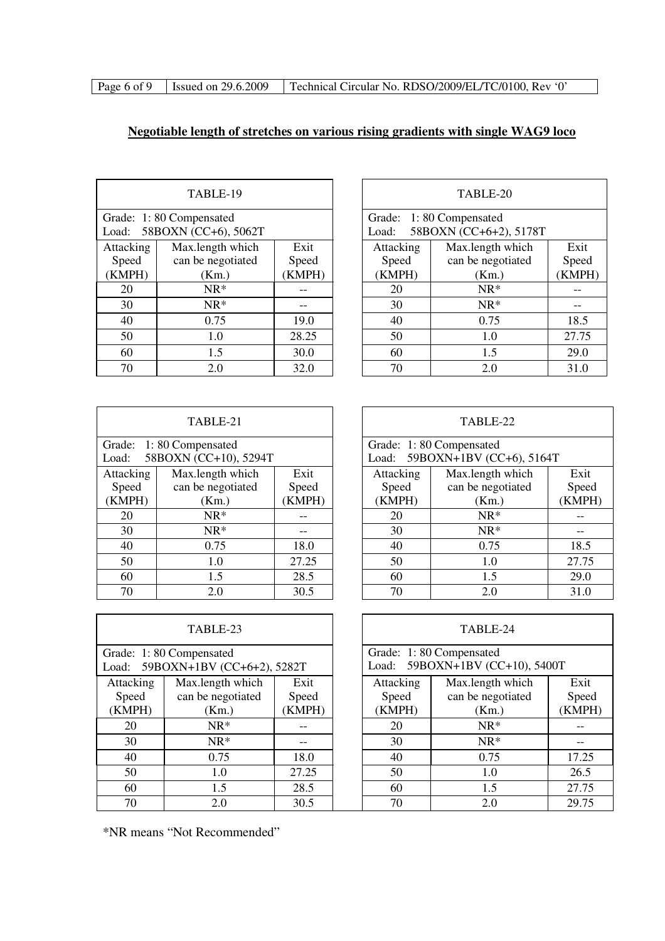# **Negotiable length of stretches on various rising gradients with single WAG9 loco**

| TABLE-19  |                         |      |  |  |
|-----------|-------------------------|------|--|--|
|           | Grade: 1:80 Compensated |      |  |  |
| Load:     | 58BOXN (CC+6), 5062T    |      |  |  |
| Attacking | Max.length which        | Exit |  |  |
| Speed     | can be negotiated       |      |  |  |
| (KMPH)    | (Km.)                   |      |  |  |
| 20        | $NR*$                   |      |  |  |
| 30        | $NR*$                   |      |  |  |
| 40        | 0.75                    | 19.0 |  |  |
| 50        | 28.25                   |      |  |  |
| 60        | 30.0                    |      |  |  |
| 70        | 2.0                     | 32.0 |  |  |

|                                                 | TABLE-19          |        | TABLE-20 |           |                                                   |        |
|-------------------------------------------------|-------------------|--------|----------|-----------|---------------------------------------------------|--------|
| de: 1:80 Compensated<br>d: 58BOXN (CC+6), 5062T |                   |        |          | Load:     | Grade: 1:80 Compensated<br>58BOXN (CC+6+2), 5178T |        |
| acking                                          | Max.length which  | Exit   |          | Attacking | Max.length which                                  | Exit   |
| oeed                                            | can be negotiated | Speed  |          | Speed     | can be negotiated                                 | Speed  |
| MPH)                                            | (Km.)             | (KMPH) |          | (KMPH)    | (Km.)                                             | (KMPH) |
| 20                                              | $NR^*$            |        |          | 20        | $NR*$                                             |        |
| 30                                              | $NR^*$            |        |          | 30        | $NR*$                                             |        |
| 40                                              | 0.75              | 19.0   |          | 40        | 0.75                                              | 18.5   |
| 50                                              | 1.0               | 28.25  |          | 50        | 1.0                                               | 27.75  |
| 60                                              | 1.5               | 30.0   |          | 60        | 1.5                                               | 29.0   |
| 70                                              | 2.0               | 32.0   |          | 70        | 2.0                                               | 31.0   |

| TABLE-21          |                         |        |  |  |
|-------------------|-------------------------|--------|--|--|
|                   | Grade: 1:80 Compensated |        |  |  |
| Load:             | 58BOXN (CC+10), 5294T   |        |  |  |
| Attacking         | Max.length which        | Exit   |  |  |
| Speed             | can be negotiated       | Speed  |  |  |
| (KMPH)            | (Km.)                   | (KMPH) |  |  |
| 20                | $NR*$                   |        |  |  |
| 30                | $NR*$                   |        |  |  |
| 40                | 0.75                    | 18.0   |  |  |
| 50                | 27.25                   |        |  |  |
| 60<br>28.5<br>1.5 |                         |        |  |  |
| 70                | 2.0                     | 30.5   |  |  |

| TABLE-23                                                    |                   |      |  |  |  |  |
|-------------------------------------------------------------|-------------------|------|--|--|--|--|
| Grade: 1:80 Compensated<br>Load: 59BOXN+1BV (CC+6+2), 5282T |                   |      |  |  |  |  |
| Attacking                                                   | Max.length which  | Exit |  |  |  |  |
| Speed                                                       | can be negotiated |      |  |  |  |  |
| (KMPH)                                                      | (Km.)             |      |  |  |  |  |
| 20                                                          | $NR*$             |      |  |  |  |  |
| 30                                                          | $NR*$             |      |  |  |  |  |
| 40                                                          | 0.75              |      |  |  |  |  |
| 50                                                          | 27.25             |      |  |  |  |  |
| 60<br>28.5<br>1.5                                           |                   |      |  |  |  |  |
| 70                                                          | 2.0               | 30.5 |  |  |  |  |

|        | TABLE-21                                      |        | TABLE-22                                                  |                   |        |  |
|--------|-----------------------------------------------|--------|-----------------------------------------------------------|-------------------|--------|--|
| d:     | de: 1:80 Compensated<br>58BOXN (CC+10), 5294T |        | Grade: 1:80 Compensated<br>Load: 59BOXN+1BV (CC+6), 5164T |                   |        |  |
| acking | Max.length which                              | Exit   | Attacking<br>Max.length which<br>Exit                     |                   |        |  |
| oeed   | can be negotiated                             | Speed  | Speed                                                     | can be negotiated | Speed  |  |
| MPH)   | (Km.)                                         | (KMPH) | (KMPH)<br>(Km.)                                           |                   | (KMPH) |  |
| 20     | $NR^*$                                        |        | $NR^*$<br>20                                              |                   |        |  |
| 30     | $NR^*$                                        |        | 30                                                        | $NR*$             |        |  |
| 40     | 0.75                                          | 18.0   | 40                                                        | 0.75              | 18.5   |  |
| 50     | 1.0                                           | 27.25  | 50                                                        | 1.0               | 27.75  |  |
| 60     | 1.5                                           | 28.5   | 60<br>1.5<br>29.0                                         |                   |        |  |
| 70     | 2.0                                           | 30.5   | 70                                                        | 2.0               | 31.0   |  |

|                                                       | TABLE-23                                       |                         |  |                              |                                                            |                         | TABLE-24 |  |
|-------------------------------------------------------|------------------------------------------------|-------------------------|--|------------------------------|------------------------------------------------------------|-------------------------|----------|--|
| le: 1:80 Compensated<br>1: 59BOXN+1BV (CC+6+2), 5282T |                                                |                         |  |                              | Grade: 1:80 Compensated<br>Load: 59BOXN+1BV (CC+10), 5400T |                         |          |  |
| acking<br>oeed<br>MPH)                                | Max.length which<br>can be negotiated<br>(Km.) | Exit<br>Speed<br>(KMPH) |  | Attacking<br>Speed<br>(KMPH) | Max.length which<br>can be negotiated<br>(Km.)             | Exit<br>Speed<br>(KMPH) |          |  |
| 20                                                    | $NR^*$                                         |                         |  | $NR*$<br>20                  |                                                            |                         |          |  |
| 30                                                    | $NR^*$                                         |                         |  | $NR*$<br>30                  |                                                            |                         |          |  |
| 40                                                    | 0.75                                           | 18.0                    |  | 40                           | 0.75                                                       | 17.25                   |          |  |
| 50                                                    | 1.0                                            | 27.25                   |  | 50                           | 1.0                                                        | 26.5                    |          |  |
| 60                                                    | 1.5                                            | 28.5                    |  | 60                           | 1.5                                                        | 27.75                   |          |  |
| 70                                                    | 2.0                                            | 30.5                    |  | 70                           | 2.0                                                        | 29.75                   |          |  |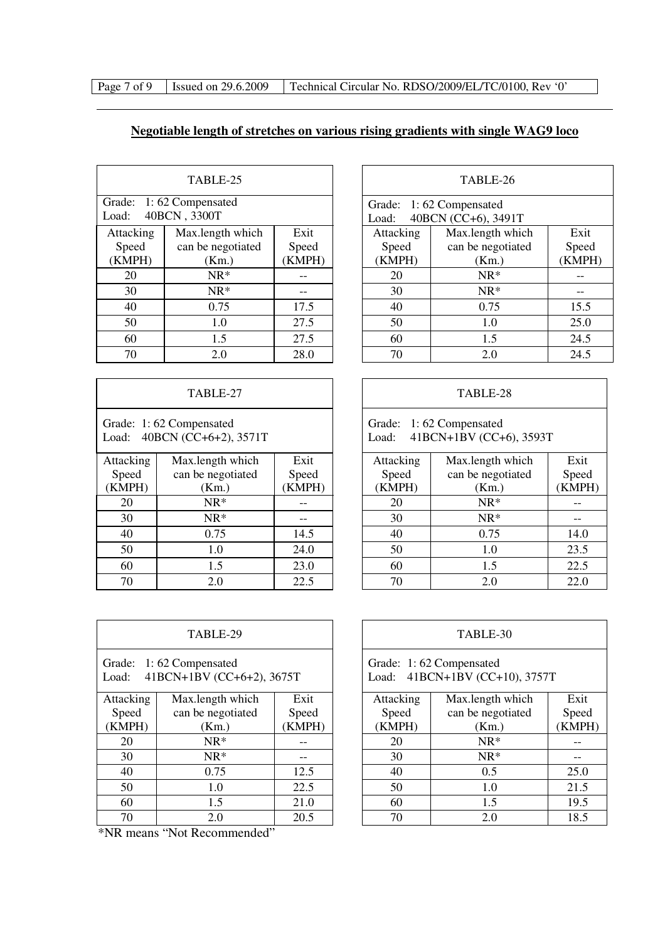| Page 7 of 9 | Issued on 29 |
|-------------|--------------|
|-------------|--------------|

9.6.2009 | Technical Circular No. RDSO/2009/EL/TC/0100, Rev '0'

# **Negotiable length of stretches on various rising gradients with single WAG9 loco**

 $\overline{\Gamma}$ 

| TABLE-25  |                         |       |  |  |  |  |
|-----------|-------------------------|-------|--|--|--|--|
|           | Grade: 1:62 Compensated |       |  |  |  |  |
| Load:     | 40BCN, 3300T            |       |  |  |  |  |
| Attacking | Max.length which        | Exit  |  |  |  |  |
| Speed     | can be negotiated       | Speed |  |  |  |  |
| (KMPH)    | (Km.)                   |       |  |  |  |  |
| 20        | $NR*$                   |       |  |  |  |  |
| 30        | $NR*$                   |       |  |  |  |  |
| 40        | 0.75                    | 17.5  |  |  |  |  |
| 50        | 1.0                     |       |  |  |  |  |
| 60        | 1.5                     |       |  |  |  |  |
| 70        | 2.0                     | 28.0  |  |  |  |  |

| TABLE-27                                                  |                   |        |  |  |  |  |
|-----------------------------------------------------------|-------------------|--------|--|--|--|--|
| Grade: 1:62 Compensated<br>40BCN (CC+6+2), 3571T<br>Load: |                   |        |  |  |  |  |
| Attacking                                                 | Max.length which  |        |  |  |  |  |
| Speed                                                     | can be negotiated | Speed  |  |  |  |  |
| (KMPH)                                                    | (Km.)             | (KMPH) |  |  |  |  |
| 20                                                        | $NR*$             |        |  |  |  |  |
| 30                                                        | $NR*$             |        |  |  |  |  |
| 40                                                        | 0.75              | 14.5   |  |  |  |  |
| 50                                                        | 1.0               |        |  |  |  |  |
| 60                                                        | 1.5               |        |  |  |  |  |
| 70                                                        | 2.0               | 22.5   |  |  |  |  |

| TABLE-29                                                      |                          |      |  |  |  |  |  |
|---------------------------------------------------------------|--------------------------|------|--|--|--|--|--|
| Grade: 1:62 Compensated<br>41BCN+1BV (CC+6+2), 3675T<br>Load: |                          |      |  |  |  |  |  |
| Attacking                                                     | Exit<br>Max.length which |      |  |  |  |  |  |
| Speed                                                         | can be negotiated        |      |  |  |  |  |  |
| (KMPH)                                                        | (Km.)                    |      |  |  |  |  |  |
| 20                                                            | $NR*$                    |      |  |  |  |  |  |
| 30                                                            | $NR*$                    |      |  |  |  |  |  |
| 40                                                            | 0.75                     |      |  |  |  |  |  |
| 50                                                            | 1.0                      |      |  |  |  |  |  |
| 60<br>1.5<br>21.0                                             |                          |      |  |  |  |  |  |
| 70                                                            | 2.0                      | 20.5 |  |  |  |  |  |

\*NR means "Not Recommended"

|        | TABLE-25                             |       | TABLE-26                              |                                                |        |  |
|--------|--------------------------------------|-------|---------------------------------------|------------------------------------------------|--------|--|
| ŀ.     | le: 1:62 Compensated<br>40BCN, 3300T |       | Load:                                 | Grade: 1:62 Compensated<br>40BCN (CC+6), 3491T |        |  |
| acking | Max.length which                     | Exit  | Attacking<br>Max.length which<br>Exit |                                                |        |  |
| oeed   | can be negotiated                    | Speed | Speed                                 | can be negotiated                              | Speed  |  |
| MPH)   | (Km.)                                | KMPH) | (KMPH)                                | (Km.)                                          | (KMPH) |  |
| 20     | $NR^*$                               |       | 20                                    | $NR*$                                          |        |  |
| 30     | $NR^*$                               |       | 30                                    | $NR*$                                          |        |  |
| 40     | 0.75                                 | 17.5  | 40                                    | 0.75                                           | 15.5   |  |
| 50     | 1.0                                  | 27.5  | 50                                    | 1.0                                            | 25.0   |  |
| 60     | 1.5                                  | 27.5  | 60                                    | 1.5                                            | 24.5   |  |
| 70     | 2.0                                  | 28.0  | 70                                    | 2.0                                            | 24.5   |  |

٦

### TABLE-28

Grade: 1: 62 Compensated Load: 41BCN+1BV (CC+6), 3593T

| acking | Max.length which  | Exit   | Attacking | Max.length which  | Exit   |
|--------|-------------------|--------|-----------|-------------------|--------|
| oeed   | can be negotiated | Speed  | Speed     | can be negotiated | Speed  |
| MPH)   | (Km.)             | (KMPH) | (KMPH)    | (Km.)             | (KMPH) |
| 20     | $NR^*$            |        | 20        | $NR^*$            |        |
| 30     | $NR^*$            |        | 30        | $NR*$             |        |
| 40     | 0.75              | 14.5   | 40        | 0.75              | 14.0   |
| 50     | $1.0\,$           | 24.0   | 50        | 1.0               | 23.5   |
| 60     | 1.5               | 23.0   | 60        | 1.5               | 22.5   |
| 70     | 2.0               | 22.5   | 70        | 2.0               | 22.0   |
|        |                   |        |           |                   |        |

|                 | TABLE-29                                          |        |  | TABLE-30                              |                                                           |      |  |
|-----------------|---------------------------------------------------|--------|--|---------------------------------------|-----------------------------------------------------------|------|--|
| d:              | de: 1:62 Compensated<br>41BCN+1BV (CC+6+2), 3675T |        |  |                                       | Grade: 1:62 Compensated<br>Load: 41BCN+1BV (CC+10), 3757T |      |  |
| acking          | Max.length which                                  | Exit   |  | Exit<br>Attacking<br>Max.length which |                                                           |      |  |
| oeed            | can be negotiated                                 | Speed  |  | can be negotiated<br>Speed<br>Speed   |                                                           |      |  |
| MPH)            | (Km.)                                             | (KMPH) |  | (KMPH)<br>(KMPH)<br>(Km.)             |                                                           |      |  |
| 20              | $NR^*$                                            |        |  | $NR*$<br>20                           |                                                           |      |  |
| $\overline{30}$ | $NR^*$                                            |        |  | 30<br>$NR*$                           |                                                           |      |  |
| 40              | 0.75                                              | 12.5   |  | 40<br>0.5                             |                                                           | 25.0 |  |
| 50              | 1.0                                               | 22.5   |  | 21.5<br>1.0<br>50                     |                                                           |      |  |
| 60              | 1.5                                               | 21.0   |  | 1.5<br>19.5<br>60                     |                                                           |      |  |
| 70              | 2.0                                               | 20.5   |  | 70                                    | 2.0                                                       | 18.5 |  |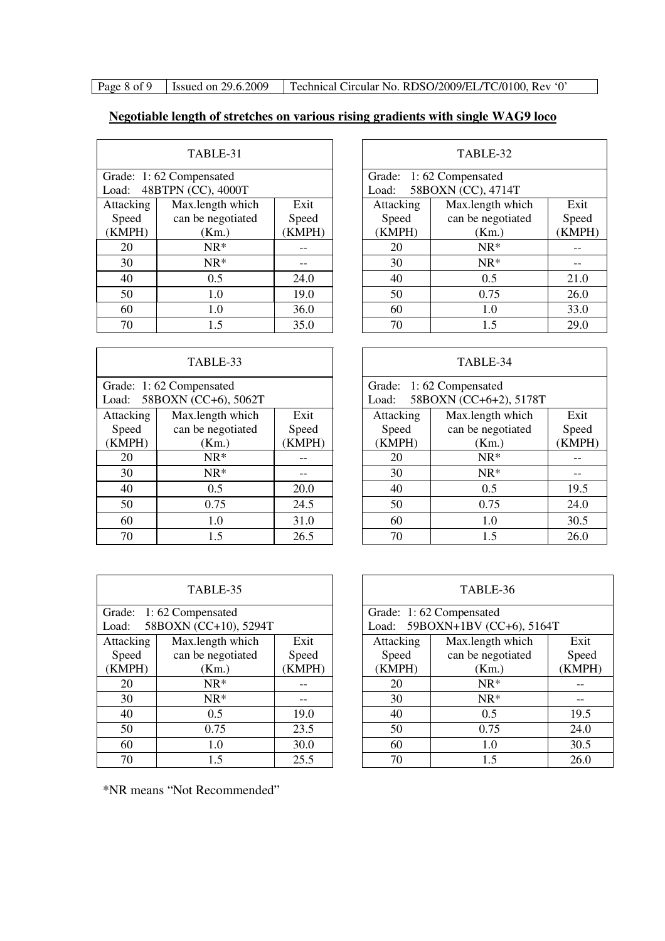Page 8 of 9 Issued on 29.6.2009 Technical Circular No. RDSO/2009/EL/TC/0100, Rev '0'

# **Negotiable length of stretches on various rising gradients with single WAG9 loco**

| TABLE-31  |                         |      |  |  |  |  |
|-----------|-------------------------|------|--|--|--|--|
|           | Grade: 1:62 Compensated |      |  |  |  |  |
| Load:     | 48BTPN (CC), 4000T      |      |  |  |  |  |
| Attacking | Exit                    |      |  |  |  |  |
| Speed     | can be negotiated       |      |  |  |  |  |
| (KMPH)    | (Km.)                   |      |  |  |  |  |
| 20        | $NR*$                   |      |  |  |  |  |
| 30        | $NR*$                   |      |  |  |  |  |
| 40        | 0.5                     | 24.0 |  |  |  |  |
| 50        | 19.0                    |      |  |  |  |  |
| 60        | 1.0                     | 36.0 |  |  |  |  |
| 70        | 1.5                     | 35.0 |  |  |  |  |

|           | TABLE-33                                              |        | TABLE-34  |                                             |
|-----------|-------------------------------------------------------|--------|-----------|---------------------------------------------|
|           | Grade: 1:62 Compensated<br>Load: 58BOXN (CC+6), 5062T |        | Load:     | Grade: 1:62 Compensated<br>58BOXN (CC+6+2), |
| Attacking | Max.length which                                      | Exit   | Attacking | Max.length wl                               |
| Speed     | can be negotiated                                     | Speed  | Speed     | can be negotia                              |
| (KMPH)    | (Km.)                                                 | (KMPH) | (KMPH)    | (Km.)                                       |
| 20        | $NR^*$                                                |        | 20        | $NR^*$                                      |
| 30        | $NR^*$                                                |        | 30        | $NR^*$                                      |
| 40        | 0.5                                                   | 20.0   | 40        | 0.5                                         |
| 50        | 0.75                                                  | 24.5   | 50        | 0.75                                        |
| 60        | 1.0                                                   | 31.0   | 60        | 1.0                                         |
| 70        | 1.5                                                   | 26.5   | 70        | 1.5                                         |

| TABLE-31                                         |                   |        | TABLE-32                                               |                   |        |
|--------------------------------------------------|-------------------|--------|--------------------------------------------------------|-------------------|--------|
| de: 1:62 Compensated<br>48BTPN (CC), 4000T<br>d: |                   |        | Grade: 1:62 Compensated<br>58BOXN (CC), 4714T<br>Load: |                   |        |
| acking                                           | Max.length which  | Exit   | Attacking                                              | Max.length which  | Exit   |
| oeed                                             | can be negotiated | Speed  | Speed                                                  | can be negotiated | Speed  |
| MPH)                                             | (Km.)             | (KMPH) | (KMPH)                                                 | (Km.)             | (KMPH) |
| 20                                               | $NR*$             |        | $NR*$<br>20                                            |                   |        |
| 30                                               | $NR*$             |        | 30                                                     | $NR*$             |        |
| 40                                               | 0.5               | 24.0   | 40                                                     | 0.5               | 21.0   |
| 50                                               | 1.0               | 19.0   | 50                                                     | 0.75              | 26.0   |
| 60                                               | 1.0               | 36.0   | 60                                                     | 1.0               | 33.0   |
| 70                                               | 1.5               | 35.0   | 70                                                     | 1.5               | 29.0   |

|                                                 | TABLE-33          |        |                                                            | TABLE-34          |        |
|-------------------------------------------------|-------------------|--------|------------------------------------------------------------|-------------------|--------|
| de: 1:62 Compensated<br>d: 58BOXN (CC+6), 5062T |                   |        | Grade: 1:62 Compensated<br>58BOXN (CC+6+2), 5178T<br>Load: |                   |        |
| acking                                          | Max.length which  | Exit   | Attacking<br>Max.length which                              |                   | Exit   |
| oeed                                            | can be negotiated | Speed  | Speed                                                      | can be negotiated | Speed  |
| MPH)                                            | (Km.)             | (KMPH) | (KMPH)                                                     | (Km.)             | (KMPH) |
| 20                                              | $NR^*$            |        | 20                                                         | $NR*$             |        |
| $\overline{30}$                                 | $NR*$             |        | 30                                                         | $NR*$             |        |
| 40                                              | 0.5               | 20.0   | 40                                                         | 0.5               | 19.5   |
| 50                                              | 0.75              | 24.5   | 50                                                         | 0.75              | 24.0   |
| 60                                              | 1.0               | 31.0   | 60                                                         | 1.0               | 30.5   |
| 70                                              | 1.5               | 26.5   | 70                                                         | 1.5               | 26.0   |

| TABLE-35          |                         |       |  |  |  |  |  |  |
|-------------------|-------------------------|-------|--|--|--|--|--|--|
|                   | Grade: 1:62 Compensated |       |  |  |  |  |  |  |
| Load:             | 58BOXN (CC+10), 5294T   |       |  |  |  |  |  |  |
| Attacking         | Max.length which        | Exit  |  |  |  |  |  |  |
| Speed             | can be negotiated       | Speed |  |  |  |  |  |  |
| (KMPH)            | (Km.)                   |       |  |  |  |  |  |  |
| 20                | $NR*$                   |       |  |  |  |  |  |  |
| 30                | $NR*$                   |       |  |  |  |  |  |  |
| 40                | 0.5                     | 19.0  |  |  |  |  |  |  |
| 50                | 0.75                    | 23.5  |  |  |  |  |  |  |
| 60                | 1.0                     | 30.0  |  |  |  |  |  |  |
| 25.5<br>1.5<br>70 |                         |       |  |  |  |  |  |  |

| TABLE-35                                            |                   |        | TABLE-36                                                  |                   |        |
|-----------------------------------------------------|-------------------|--------|-----------------------------------------------------------|-------------------|--------|
| de: 1:62 Compensated<br>58BOXN (CC+10), 5294T<br>d: |                   |        | Grade: 1:62 Compensated<br>Load: 59BOXN+1BV (CC+6), 5164T |                   |        |
| acking                                              | Max.length which  | Exit   | Attacking                                                 | Max.length which  | Exit   |
| oeed                                                | can be negotiated | Speed  | Speed                                                     | can be negotiated | Speed  |
| MPH)                                                | (Km.)             | (KMPH) | (KMPH)                                                    | (Km.)             | (KMPH) |
| 20                                                  | $NR^*$            |        | 20                                                        | $NR*$             |        |
| 30<br>$NR^*$                                        |                   | 30     | $NR*$                                                     |                   |        |
| 40                                                  | 0.5               | 19.0   | 40                                                        | 0.5               | 19.5   |
| $\overline{50}$                                     | 0.75              | 23.5   | 50                                                        | 0.75              | 24.0   |
| $\overline{60}$                                     | 1.0               | 30.0   | 60                                                        | 1.0               | 30.5   |
| 70<br>25.5<br>1.5                                   |                   | 70     | 1.5                                                       | 26.0              |        |